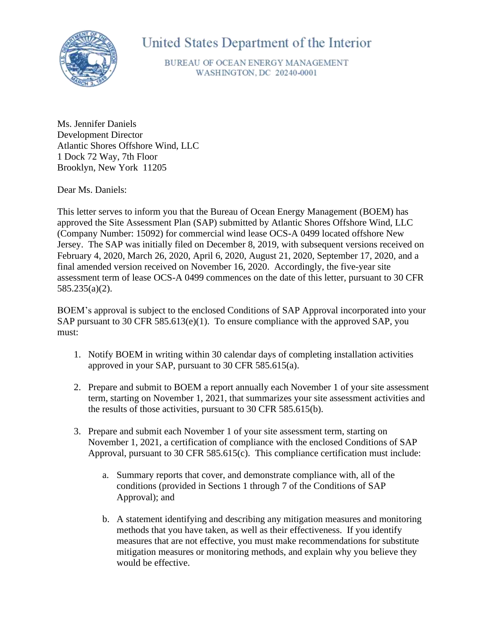

## United States Department of the Interior

BUREAU OF OCEAN ENERGY MANAGEMENT WASHINGTON, DC 20240-0001

Ms. Jennifer Daniels Development Director Atlantic Shores Offshore Wind, LLC 1 Dock 72 Way, 7th Floor Brooklyn, New York 11205

Dear Ms. Daniels:

This letter serves to inform you that the Bureau of Ocean Energy Management (BOEM) has approved the Site Assessment Plan (SAP) submitted by Atlantic Shores Offshore Wind, LLC (Company Number: 15092) for commercial wind lease OCS-A 0499 located offshore New Jersey. The SAP was initially filed on December 8, 2019, with subsequent versions received on February 4, 2020, March 26, 2020, April 6, 2020, August 21, 2020, September 17, 2020, and a final amended version received on November 16, 2020. Accordingly, the five-year site assessment term of lease OCS-A 0499 commences on the date of this letter, pursuant to 30 CFR 585.235(a)(2).

BOEM's approval is subject to the enclosed Conditions of SAP Approval incorporated into your SAP pursuant to 30 CFR 585.613(e)(1). To ensure compliance with the approved SAP, you must:

- 1. Notify BOEM in writing within 30 calendar days of completing installation activities approved in your SAP, pursuant to 30 CFR 585.615(a).
- 2. Prepare and submit to BOEM a report annually each November 1 of your site assessment term, starting on November 1, 2021, that summarizes your site assessment activities and the results of those activities, pursuant to 30 CFR 585.615(b).
- 3. Prepare and submit each November 1 of your site assessment term, starting on November 1, 2021, a certification of compliance with the enclosed Conditions of SAP Approval, pursuant to 30 CFR 585.615(c). This compliance certification must include:
	- a. Summary reports that cover, and demonstrate compliance with, all of the conditions (provided in Sections 1 through 7 of the Conditions of SAP Approval); and
	- b. A statement identifying and describing any mitigation measures and monitoring methods that you have taken, as well as their effectiveness. If you identify measures that are not effective, you must make recommendations for substitute mitigation measures or monitoring methods, and explain why you believe they would be effective.